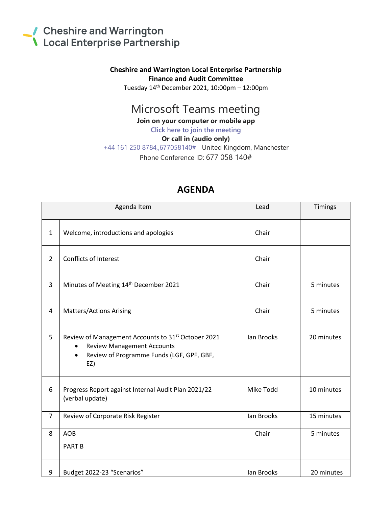## Cheshire and Warrington<br>
Local Enterprise Partnership

## **Cheshire and Warrington Local Enterprise Partnership Finance and Audit Committee**

Tuesday 14th December 2021, 10:00pm – 12:00pm

## Microsoft Teams meeting

**Join on your computer or mobile app**

**[Click here to join the meeting](https://teams.microsoft.com/l/meetup-join/19%3ameeting_ZTU2Y2I2MmItMDM0MS00ZDY3LWJmNDQtOTlmN2YwMzA1ZjI4%40thread.v2/0?context=%7b%22Tid%22%3a%229fdc30f0-07e8-4ece-96e4-5daef8d479d1%22%2c%22Oid%22%3a%2210048e38-4d2c-454f-88cf-2b878c148880%22%7d)**

**Or call in (audio only)**

[+44 161 250 8784,,677058140#](tel:+441612508784,,677058140# ) United Kingdom, Manchester Phone Conference ID: 677 058 140#

| Agenda Item    |                                                                                                                                                                                   | Lead       | Timings    |
|----------------|-----------------------------------------------------------------------------------------------------------------------------------------------------------------------------------|------------|------------|
| $\mathbf{1}$   | Welcome, introductions and apologies                                                                                                                                              | Chair      |            |
| $\overline{2}$ | <b>Conflicts of Interest</b>                                                                                                                                                      | Chair      |            |
| 3              | Minutes of Meeting 14th December 2021                                                                                                                                             | Chair      | 5 minutes  |
| 4              | <b>Matters/Actions Arising</b>                                                                                                                                                    | Chair      | 5 minutes  |
| 5              | Review of Management Accounts to 31 <sup>st</sup> October 2021<br><b>Review Management Accounts</b><br>$\bullet$<br>Review of Programme Funds (LGF, GPF, GBF,<br>$\bullet$<br>EZ) | lan Brooks | 20 minutes |
| 6              | Progress Report against Internal Audit Plan 2021/22<br>(verbal update)                                                                                                            | Mike Todd  | 10 minutes |
| $\overline{7}$ | Review of Corporate Risk Register                                                                                                                                                 | lan Brooks | 15 minutes |
| 8              | <b>AOB</b>                                                                                                                                                                        | Chair      | 5 minutes  |
|                | <b>PART B</b>                                                                                                                                                                     |            |            |
| 9              | Budget 2022-23 "Scenarios"                                                                                                                                                        | lan Brooks | 20 minutes |

## **AGENDA**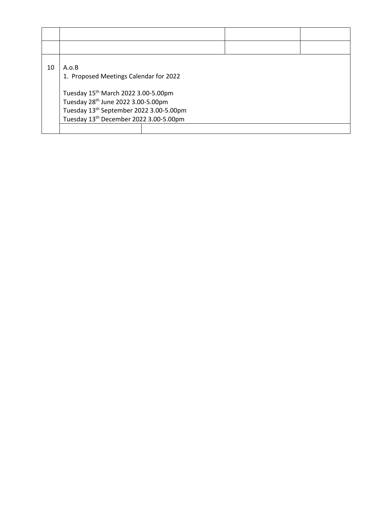| 10 | A.o.B<br>1. Proposed Meetings Calendar for 2022<br>Tuesday 15th March 2022 3.00-5.00pm<br>Tuesday 28th June 2022 3.00-5.00pm |  |  |  |  |  |
|----|------------------------------------------------------------------------------------------------------------------------------|--|--|--|--|--|
|    | Tuesday 13 <sup>th</sup> September 2022 3.00-5.00pm<br>Tuesday 13 <sup>th</sup> December 2022 3.00-5.00pm                    |  |  |  |  |  |
|    |                                                                                                                              |  |  |  |  |  |